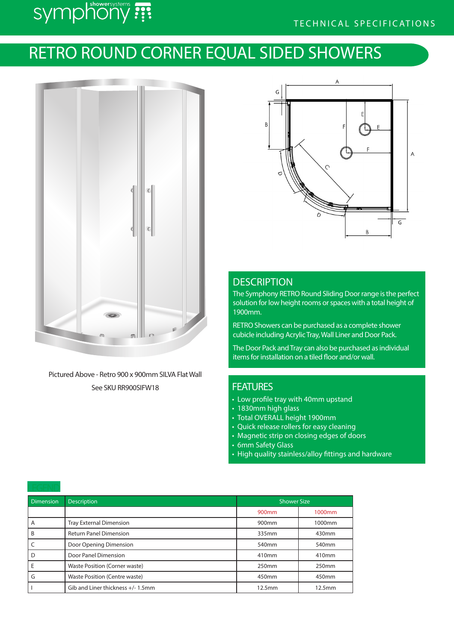# symphony ???

## TECHNICAL SPECIFICATIONS

## RETRO ROUND CORNER EQUAL SIDED SHOWERS



Pictured Above - Retro 900 x 900mm SILVA Flat Wall See SKU RR900SIFW18



## **DESCRIPTION**

The Symphony RETRO Round Sliding Door range is the perfect solution for low height rooms or spaces with a total height of 1900mm.

RETRO Showers can be purchased as a complete shower cubicle including Acrylic Tray, Wall Liner and Door Pack.

The Door Pack and Tray can also be purchased as individual items for installation on a tiled floor and/or wall.

### **FEATURES**

- Low profile tray with 40mm upstand
- 1830mm high glass
- Total OVERALL height 1900mm
- Quick release rollers for easy cleaning
- Magnetic strip on closing edges of doors
- 6mm Safety Glass
- High quality stainless/alloy fittings and hardware

| <b>Dimension</b> | <b>Description</b>                   | <b>Shower Size</b> |        |  |  |
|------------------|--------------------------------------|--------------------|--------|--|--|
|                  |                                      | 900 <sub>mm</sub>  | 1000mm |  |  |
| A                | <b>Tray External Dimension</b>       | 900mm              | 1000mm |  |  |
| B                | <b>Return Panel Dimension</b>        | 335mm              | 430mm  |  |  |
|                  | Door Opening Dimension               | 540mm              | 540mm  |  |  |
|                  | Door Panel Dimension                 | 410mm              | 410mm  |  |  |
| Е                | Waste Position (Corner waste)        | 250mm              | 250mm  |  |  |
| G                | Waste Position (Centre waste)        | 450 <sub>mm</sub>  | 450mm  |  |  |
|                  | Gib and Liner thickness $+/- 1.5$ mm | 12.5mm             | 12.5mm |  |  |